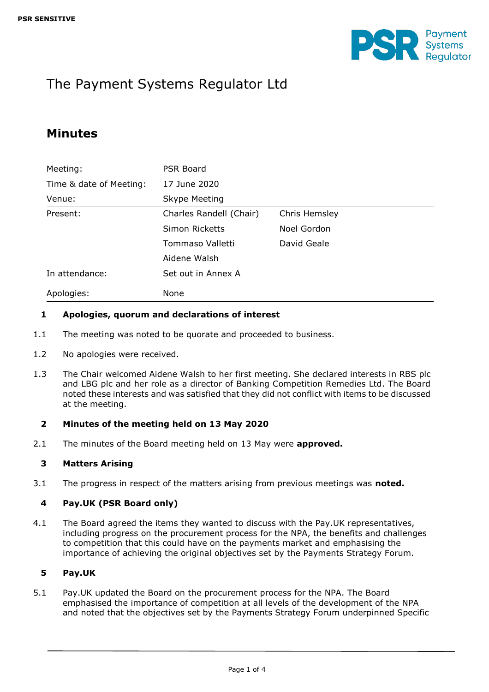

# The Payment Systems Regulator Ltd

# **Minutes**

| Meeting:                | PSR Board               |               |  |
|-------------------------|-------------------------|---------------|--|
| Time & date of Meeting: | 17 June 2020            |               |  |
| Venue:                  | Skype Meeting           |               |  |
| Present:                | Charles Randell (Chair) | Chris Hemsley |  |
|                         | Simon Ricketts          | Noel Gordon   |  |
|                         | Tommaso Valletti        | David Geale   |  |
|                         | Aidene Walsh            |               |  |
| In attendance:          | Set out in Annex A      |               |  |
| Apologies:              | None                    |               |  |

#### **1 Apologies, quorum and declarations of interest**

- 1.1 The meeting was noted to be quorate and proceeded to business.
- 1.2 No apologies were received.
- 1.3 The Chair welcomed Aidene Walsh to her first meeting. She declared interests in RBS plc and LBG plc and her role as a director of Banking Competition Remedies Ltd. The Board noted these interests and was satisfied that they did not conflict with items to be discussed at the meeting.

#### **2 Minutes of the meeting held on 13 May 2020**

2.1 The minutes of the Board meeting held on 13 May were **approved.**

#### **3 Matters Arising**

3.1 The progress in respect of the matters arising from previous meetings was **noted.**

#### **4 Pay.UK (PSR Board only)**

4.1 The Board agreed the items they wanted to discuss with the Pay.UK representatives, including progress on the procurement process for the NPA, the benefits and challenges to competition that this could have on the payments market and emphasising the importance of achieving the original objectives set by the Payments Strategy Forum.

#### **5 Pay.UK**

5.1 Pay.UK updated the Board on the procurement process for the NPA. The Board emphasised the importance of competition at all levels of the development of the NPA and noted that the objectives set by the Payments Strategy Forum underpinned Specific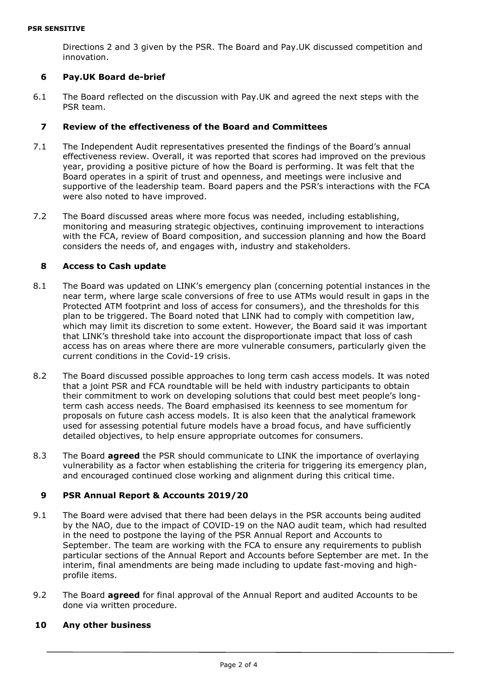Directions 2 and 3 given by the PSR. The Board and Pay.UK discussed competition and innovation.

#### **6 Pay.UK Board de-brief**

6.1 The Board reflected on the discussion with Pay.UK and agreed the next steps with the PSR team.

#### **7 Review of the effectiveness of the Board and Committees**

- 7.1 The Independent Audit representatives presented the findings of the Board's annual effectiveness review. Overall, it was reported that scores had improved on the previous year, providing a positive picture of how the Board is performing. It was felt that the Board operates in a spirit of trust and openness, and meetings were inclusive and supportive of the leadership team. Board papers and the PSR's interactions with the FCA were also noted to have improved.
- 7.2 The Board discussed areas where more focus was needed, including establishing, monitoring and measuring strategic objectives, continuing improvement to interactions with the FCA, review of Board composition, and succession planning and how the Board considers the needs of, and engages with, industry and stakeholders.

#### **8 Access to Cash update**

- 8.1 The Board was updated on LINK's emergency plan (concerning potential instances in the near term, where large scale conversions of free to use ATMs would result in gaps in the Protected ATM footprint and loss of access for consumers), and the thresholds for this plan to be triggered. The Board noted that LINK had to comply with competition law, which may limit its discretion to some extent. However, the Board said it was important that LINK's threshold take into account the disproportionate impact that loss of cash access has on areas where there are more vulnerable consumers, particularly given the current conditions in the Covid-19 crisis.
- 8.2 The Board discussed possible approaches to long term cash access models. It was noted that a joint PSR and FCA roundtable will be held with industry participants to obtain their commitment to work on developing solutions that could best meet people's longterm cash access needs. The Board emphasised its keenness to see momentum for proposals on future cash access models. It is also keen that the analytical framework used for assessing potential future models have a broad focus, and have sufficiently detailed objectives, to help ensure appropriate outcomes for consumers.
- 8.3 The Board **agreed** the PSR should communicate to LINK the importance of overlaying vulnerability as a factor when establishing the criteria for triggering its emergency plan, and encouraged continued close working and alignment during this critical time.

#### **9 PSR Annual Report & Accounts 2019/20**

- 9.1 The Board were advised that there had been delays in the PSR accounts being audited by the NAO, due to the impact of COVID-19 on the NAO audit team, which had resulted in the need to postpone the laying of the PSR Annual Report and Accounts to September. The team are working with the FCA to ensure any requirements to publish particular sections of the Annual Report and Accounts before September are met. In the interim, final amendments are being made including to update fast-moving and highprofile items.
- 9.2 The Board **agreed** for final approval of the Annual Report and audited Accounts to be done via written procedure.

#### **10 Any other business**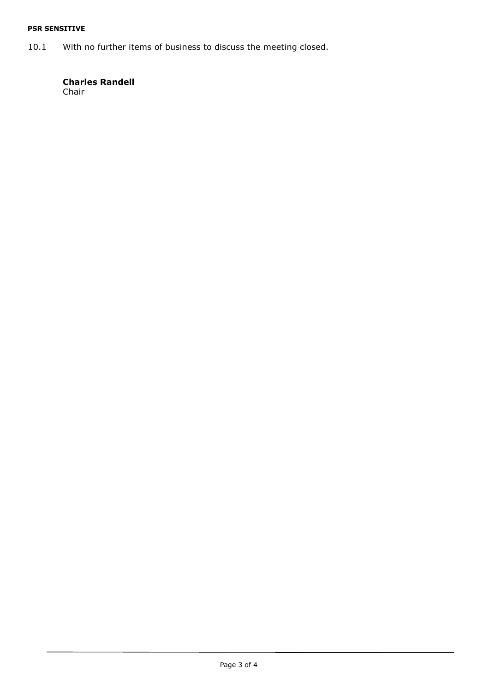#### **PSR SENSITIVE**

10.1 With no further items of business to discuss the meeting closed.

# **Charles Randell**

Chair